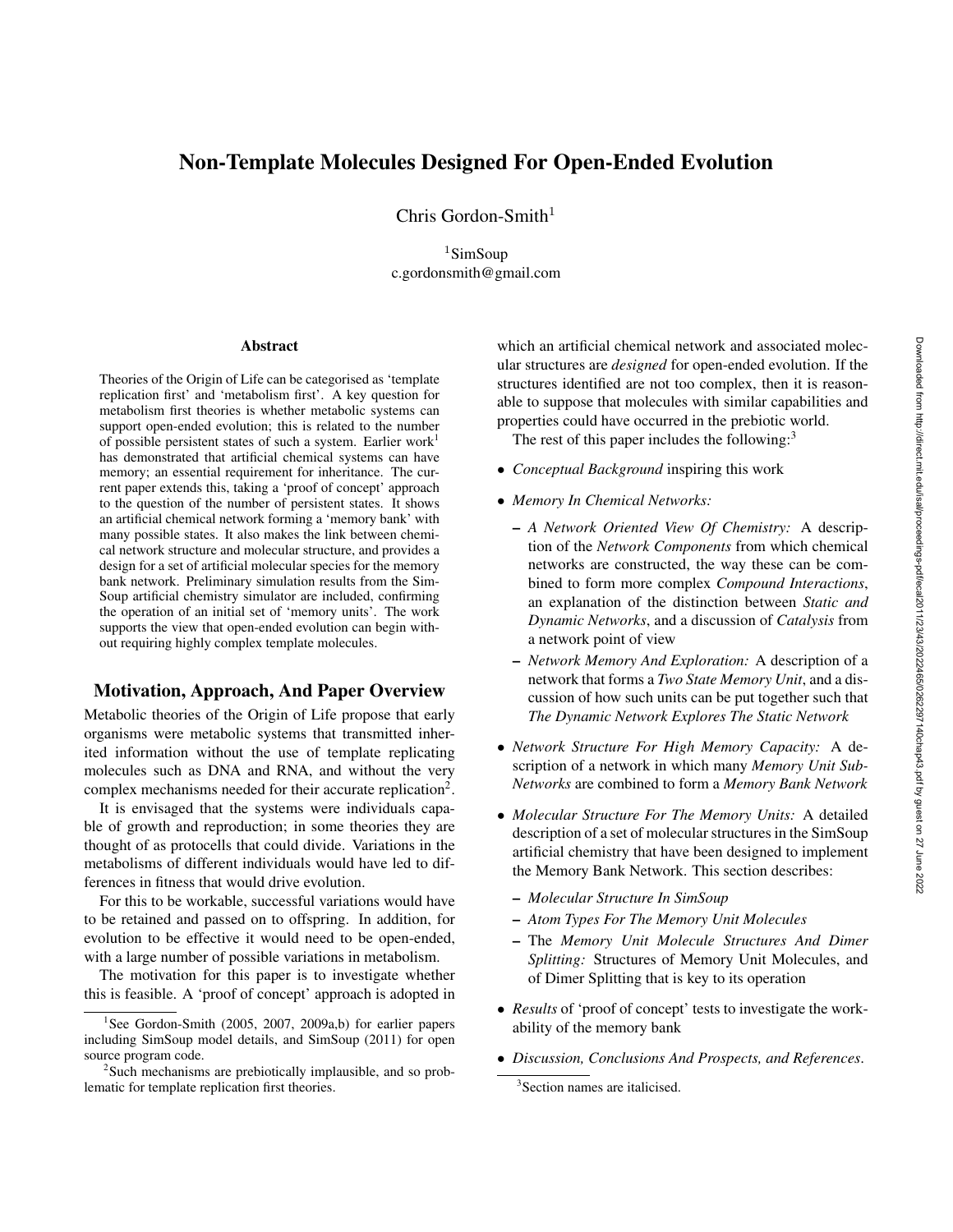# Non-Template Molecules Designed For Open-Ended Evolution

Chris Gordon-Smith $1$ 

 $1$ SimSoup c.gordonsmith@gmail.com

#### **Abstract**

Theories of the Origin of Life can be categorised as 'template replication first' and 'metabolism first'. A key question for metabolism first theories is whether metabolic systems can support open-ended evolution; this is related to the number of possible persistent states of such a system. Earlier work<sup>1</sup> has demonstrated that artificial chemical systems can have memory; an essential requirement for inheritance. The current paper extends this, taking a 'proof of concept' approach to the question of the number of persistent states. It shows an artificial chemical network forming a 'memory bank' with many possible states. It also makes the link between chemical network structure and molecular structure, and provides a design for a set of artificial molecular species for the memory bank network. Preliminary simulation results from the Sim-Soup artificial chemistry simulator are included, confirming the operation of an initial set of 'memory units'. The work supports the view that open-ended evolution can begin without requiring highly complex template molecules.

## Motivation, Approach, And Paper Overview

Metabolic theories of the Origin of Life propose that early organisms were metabolic systems that transmitted inherited information without the use of template replicating molecules such as DNA and RNA, and without the very complex mechanisms needed for their accurate replication<sup>2</sup>.

It is envisaged that the systems were individuals capable of growth and reproduction; in some theories they are thought of as protocells that could divide. Variations in the metabolisms of different individuals would have led to differences in fitness that would drive evolution.

For this to be workable, successful variations would have to be retained and passed on to offspring. In addition, for evolution to be effective it would need to be open-ended, with a large number of possible variations in metabolism.

The motivation for this paper is to investigate whether this is feasible. A 'proof of concept' approach is adopted in

which an artificial chemical network and associated molecular structures are *designed* for open-ended evolution. If the structures identified are not too complex, then it is reasonable to suppose that molecules with similar capabilities and properties could have occurred in the prebiotic world.

The rest of this paper includes the following: $3$ 

- *Conceptual Background* inspiring this work
- *Memory In Chemical Networks:*
	- *A Network Oriented View Of Chemistry:* A description of the *Network Components* from which chemical networks are constructed, the way these can be combined to form more complex *Compound Interactions*, an explanation of the distinction between *Static and Dynamic Networks*, and a discussion of *Catalysis* from a network point of view
	- *Network Memory And Exploration:* A description of a network that forms a *Two State Memory Unit*, and a discussion of how such units can be put together such that *The Dynamic Network Explores The Static Network*
- *Network Structure For High Memory Capacity:* A description of a network in which many *Memory Unit Sub-Networks* are combined to form a *Memory Bank Network*
- *Molecular Structure For The Memory Units:* A detailed description of a set of molecular structures in the SimSoup artificial chemistry that have been designed to implement the Memory Bank Network. This section describes:
	- *Molecular Structure In SimSoup*
	- *Atom Types For The Memory Unit Molecules*
	- The *Memory Unit Molecule Structures And Dimer Splitting:* Structures of Memory Unit Molecules, and of Dimer Splitting that is key to its operation
- *Results* of 'proof of concept' tests to investigate the workability of the memory bank
- *Discussion, Conclusions And Prospects, and References*.

<sup>&</sup>lt;sup>1</sup>See Gordon-Smith (2005, 2007, 2009a,b) for earlier papers including SimSoup model details, and SimSoup (2011) for open source program code.

<sup>&</sup>lt;sup>2</sup>Such mechanisms are prebiotically implausible, and so problematic for template replication first theories.

<sup>3</sup> Section names are italicised.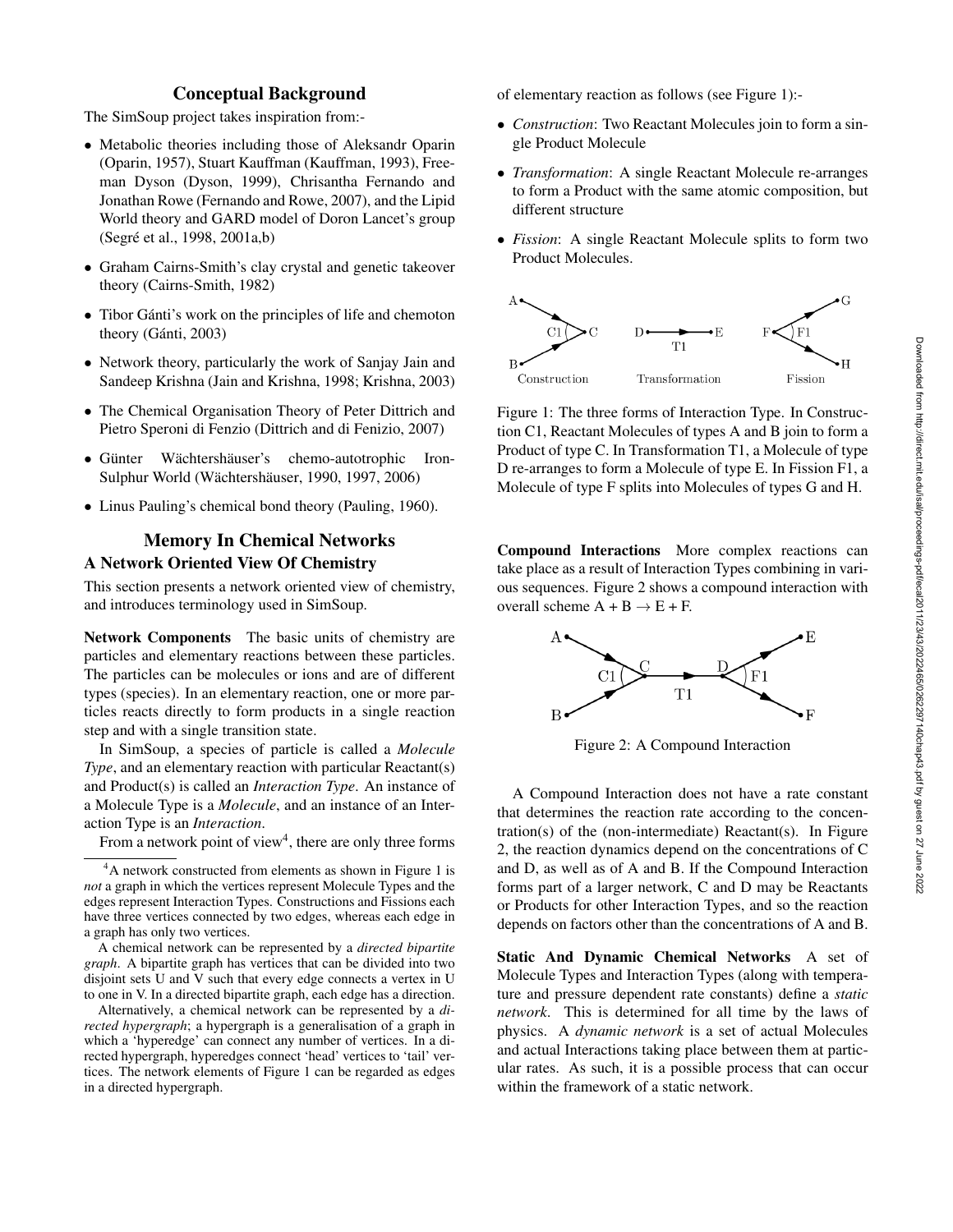# Conceptual Background

The SimSoup project takes inspiration from:-

- Metabolic theories including those of Aleksandr Oparin (Oparin, 1957), Stuart Kauffman (Kauffman, 1993), Freeman Dyson (Dyson, 1999), Chrisantha Fernando and Jonathan Rowe (Fernando and Rowe, 2007), and the Lipid World theory and GARD model of Doron Lancet's group (Segré et al., 1998, 2001a,b)
- Graham Cairns-Smith's clay crystal and genetic takeover theory (Cairns-Smith, 1982)
- Tibor Gánti's work on the principles of life and chemoton theory (Gánti, 2003)
- Network theory, particularly the work of Sanjay Jain and Sandeep Krishna (Jain and Krishna, 1998; Krishna, 2003)
- The Chemical Organisation Theory of Peter Dittrich and Pietro Speroni di Fenzio (Dittrich and di Fenizio, 2007)
- Günter Wächtershäuser's chemo-autotrophic Iron-Sulphur World (Wächtershäuser, 1990, 1997, 2006)
- Linus Pauling's chemical bond theory (Pauling, 1960).

# Memory In Chemical Networks A Network Oriented View Of Chemistry

This section presents a network oriented view of chemistry, and introduces terminology used in SimSoup.

Network Components The basic units of chemistry are particles and elementary reactions between these particles. The particles can be molecules or ions and are of different types (species). In an elementary reaction, one or more particles reacts directly to form products in a single reaction step and with a single transition state.

In SimSoup, a species of particle is called a *Molecule Type*, and an elementary reaction with particular Reactant(s) and Product(s) is called an *Interaction Type*. An instance of a Molecule Type is a *Molecule*, and an instance of an Interaction Type is an *Interaction*.

From a network point of view<sup>4</sup>, there are only three forms

A chemical network can be represented by a *directed bipartite graph*. A bipartite graph has vertices that can be divided into two disjoint sets U and V such that every edge connects a vertex in U to one in V. In a directed bipartite graph, each edge has a direction.

Alternatively, a chemical network can be represented by a *directed hypergraph*; a hypergraph is a generalisation of a graph in which a 'hyperedge' can connect any number of vertices. In a directed hypergraph, hyperedges connect 'head' vertices to 'tail' vertices. The network elements of Figure 1 can be regarded as edges in a directed hypergraph.

of elementary reaction as follows (see Figure 1):-

- *Construction*: Two Reactant Molecules join to form a single Product Molecule
- *Transformation*: A single Reactant Molecule re-arranges to form a Product with the same atomic composition, but different structure
- *Fission*: A single Reactant Molecule splits to form two Product Molecules.



Figure 1: The three forms of Interaction Type. In Construction C1, Reactant Molecules of types A and B join to form a Product of type C. In Transformation T1, a Molecule of type D re-arranges to form a Molecule of type E. In Fission F1, a Molecule of type F splits into Molecules of types G and H.

Compound Interactions More complex reactions can take place as a result of Interaction Types combining in various sequences. Figure 2 shows a compound interaction with overall scheme  $A + B \rightarrow E + F$ .



Figure 2: A Compound Interaction

A Compound Interaction does not have a rate constant that determines the reaction rate according to the concentration(s) of the (non-intermediate) Reactant(s). In Figure 2, the reaction dynamics depend on the concentrations of C and D, as well as of A and B. If the Compound Interaction forms part of a larger network, C and D may be Reactants or Products for other Interaction Types, and so the reaction depends on factors other than the concentrations of A and B.

Static And Dynamic Chemical Networks A set of Molecule Types and Interaction Types (along with temperature and pressure dependent rate constants) define a *static network*. This is determined for all time by the laws of physics. A *dynamic network* is a set of actual Molecules and actual Interactions taking place between them at particular rates. As such, it is a possible process that can occur within the framework of a static network.

<sup>&</sup>lt;sup>4</sup>A network constructed from elements as shown in Figure 1 is *not* a graph in which the vertices represent Molecule Types and the edges represent Interaction Types. Constructions and Fissions each have three vertices connected by two edges, whereas each edge in a graph has only two vertices.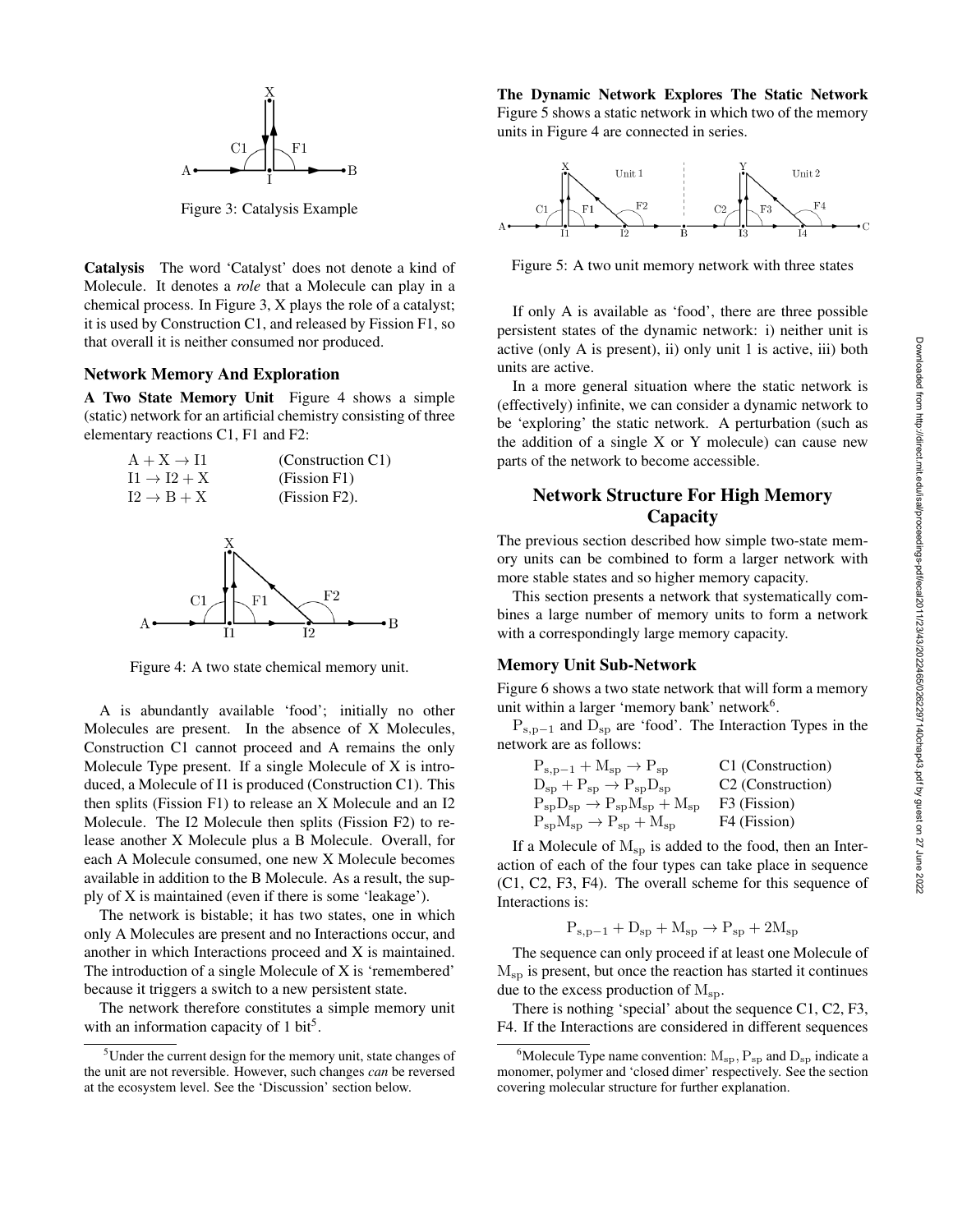

Figure 3: Catalysis Example

Catalysis The word 'Catalyst' does not denote a kind of Molecule. It denotes a *role* that a Molecule can play in a chemical process. In Figure 3, X plays the role of a catalyst; it is used by Construction C1, and released by Fission F1, so that overall it is neither consumed nor produced.

### Network Memory And Exploration

A Two State Memory Unit Figure 4 shows a simple (static) network for an artificial chemistry consisting of three elementary reactions C1, F1 and F2:



Figure 4: A two state chemical memory unit.

A is abundantly available 'food'; initially no other Molecules are present. In the absence of X Molecules, Construction C1 cannot proceed and A remains the only Molecule Type present. If a single Molecule of X is introduced, a Molecule of I1 is produced (Construction C1). This then splits (Fission F1) to release an X Molecule and an I2 Molecule. The I2 Molecule then splits (Fission F2) to release another X Molecule plus a B Molecule. Overall, for each A Molecule consumed, one new X Molecule becomes available in addition to the B Molecule. As a result, the supply of X is maintained (even if there is some 'leakage').

The network is bistable; it has two states, one in which only A Molecules are present and no Interactions occur, and another in which Interactions proceed and X is maintained. The introduction of a single Molecule of X is 'remembered' because it triggers a switch to a new persistent state.

The network therefore constitutes a simple memory unit with an information capacity of 1 bit<sup>5</sup>.

The Dynamic Network Explores The Static Network Figure 5 shows a static network in which two of the memory units in Figure 4 are connected in series.



Figure 5: A two unit memory network with three states

If only A is available as 'food', there are three possible persistent states of the dynamic network: i) neither unit is active (only A is present), ii) only unit 1 is active, iii) both units are active.

In a more general situation where the static network is (effectively) infinite, we can consider a dynamic network to be 'exploring' the static network. A perturbation (such as the addition of a single X or Y molecule) can cause new parts of the network to become accessible.

# Network Structure For High Memory **Capacity**

The previous section described how simple two-state memory units can be combined to form a larger network with more stable states and so higher memory capacity.

This section presents a network that systematically combines a large number of memory units to form a network with a correspondingly large memory capacity.

### Memory Unit Sub-Network

Figure 6 shows a two state network that will form a memory unit within a larger 'memory bank' network<sup>6</sup>.

 $P_{s,p-1}$  and  $D_{sp}$  are 'food'. The Interaction Types in the network are as follows:

| C1 (Construction)             |
|-------------------------------|
| C <sub>2</sub> (Construction) |
| F3 (Fission)                  |
| F4 (Fission)                  |
|                               |

If a Molecule of  $M_{sp}$  is added to the food, then an Interaction of each of the four types can take place in sequence (C1, C2, F3, F4). The overall scheme for this sequence of Interactions is:

$$
P_{s,p-1} + D_{sp} + M_{sp} \rightarrow P_{sp} + 2M_{sp}
$$

The sequence can only proceed if at least one Molecule of  $M_{\rm{sp}}$  is present, but once the reaction has started it continues due to the excess production of  $M_{\rm sp}$ .

There is nothing 'special' about the sequence C1, C2, F3, F4. If the Interactions are considered in different sequences

<sup>&</sup>lt;sup>5</sup>Under the current design for the memory unit, state changes of the unit are not reversible. However, such changes *can* be reversed at the ecosystem level. See the 'Discussion' section below.

<sup>&</sup>lt;sup>6</sup>Molecule Type name convention:  $M_{sp}$ ,  $P_{sp}$  and  $D_{sp}$  indicate a monomer, polymer and 'closed dimer' respectively. See the section covering molecular structure for further explanation.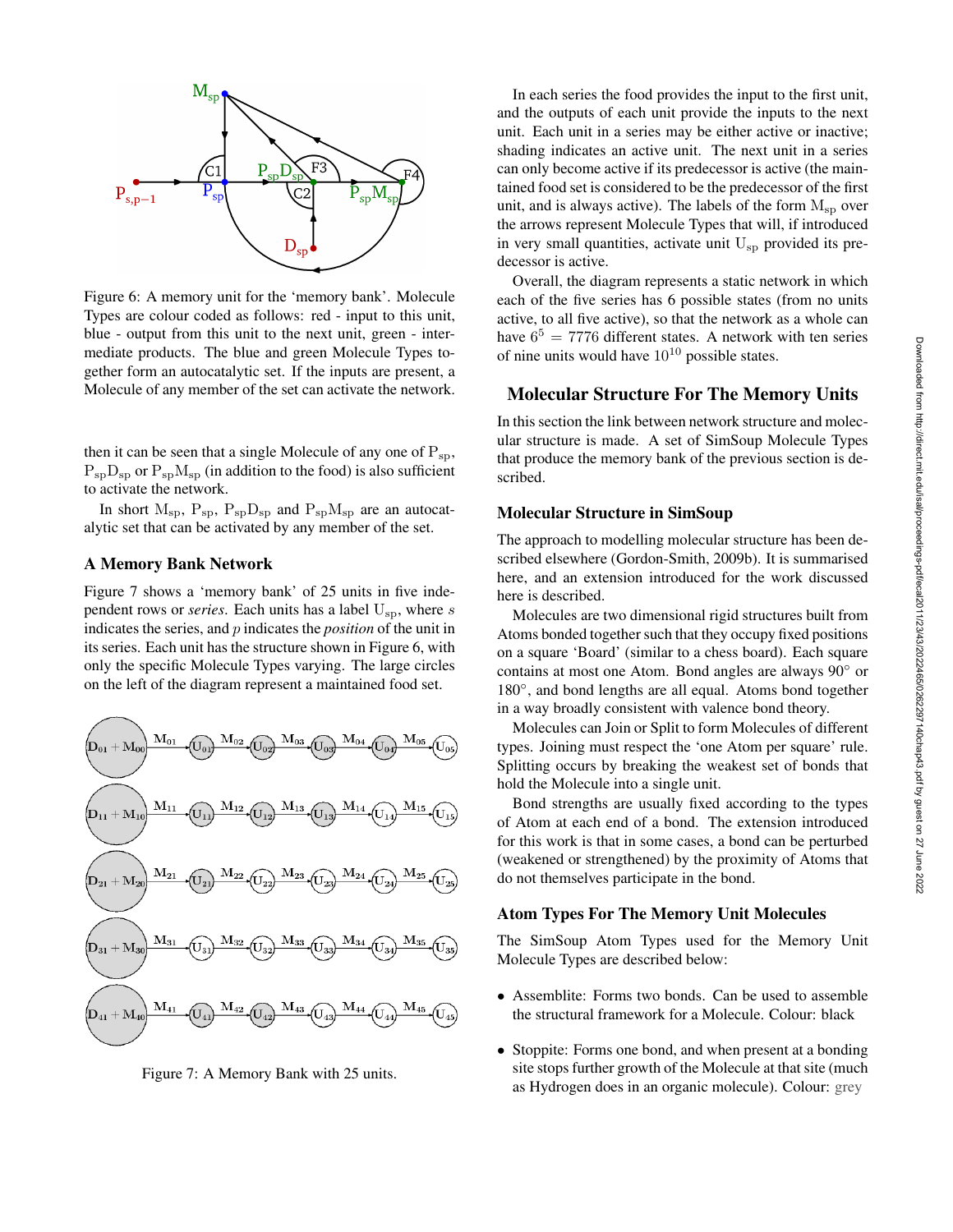

Figure 6: A memory unit for the 'memory bank'. Molecule Types are colour coded as follows: red - input to this unit, blue - output from this unit to the next unit, green - intermediate products. The blue and green Molecule Types together form an autocatalytic set. If the inputs are present, a Molecule of any member of the set can activate the network.

then it can be seen that a single Molecule of any one of  $P_{sp}$ ,  $P_{\rm SD}D_{\rm SD}$  or  $P_{\rm SD}M_{\rm SD}$  (in addition to the food) is also sufficient to activate the network.

In short  $M_{sp}$ ,  $P_{sp}$ ,  $P_{sp}D_{sp}$  and  $P_{sp}M_{sp}$  are an autocatalytic set that can be activated by any member of the set.

### A Memory Bank Network

Figure 7 shows a 'memory bank' of 25 units in five independent rows or *series*. Each units has a label  $U_{\rm SD}$ , where s indicates the series, and p indicates the *position* of the unit in its series. Each unit has the structure shown in Figure 6, with only the specific Molecule Types varying. The large circles on the left of the diagram represent a maintained food set.



Figure 7: A Memory Bank with 25 units.

In each series the food provides the input to the first unit, and the outputs of each unit provide the inputs to the next unit. Each unit in a series may be either active or inactive; shading indicates an active unit. The next unit in a series can only become active if its predecessor is active (the maintained food set is considered to be the predecessor of the first unit, and is always active). The labels of the form  $M_{\rm{sp}}$  over the arrows represent Molecule Types that will, if introduced in very small quantities, activate unit  $U_{\rm SD}$  provided its predecessor is active.

Overall, the diagram represents a static network in which each of the five series has 6 possible states (from no units active, to all five active), so that the network as a whole can have  $6^5 = 7776$  different states. A network with ten series of nine units would have  $10^{10}$  possible states.

### Molecular Structure For The Memory Units

In this section the link between network structure and molecular structure is made. A set of SimSoup Molecule Types that produce the memory bank of the previous section is described.

## Molecular Structure in SimSoup

The approach to modelling molecular structure has been described elsewhere (Gordon-Smith, 2009b). It is summarised here, and an extension introduced for the work discussed here is described.

Molecules are two dimensional rigid structures built from Atoms bonded together such that they occupy fixed positions on a square 'Board' (similar to a chess board). Each square contains at most one Atom. Bond angles are always 90◦ or 180°, and bond lengths are all equal. Atoms bond together in a way broadly consistent with valence bond theory.

Molecules can Join or Split to form Molecules of different types. Joining must respect the 'one Atom per square' rule. Splitting occurs by breaking the weakest set of bonds that hold the Molecule into a single unit.

Bond strengths are usually fixed according to the types of Atom at each end of a bond. The extension introduced for this work is that in some cases, a bond can be perturbed (weakened or strengthened) by the proximity of Atoms that do not themselves participate in the bond.

## Atom Types For The Memory Unit Molecules

The SimSoup Atom Types used for the Memory Unit Molecule Types are described below:

- Assemblite: Forms two bonds. Can be used to assemble the structural framework for a Molecule. Colour: black
- Stoppite: Forms one bond, and when present at a bonding site stops further growth of the Molecule at that site (much as Hydrogen does in an organic molecule). Colour: grey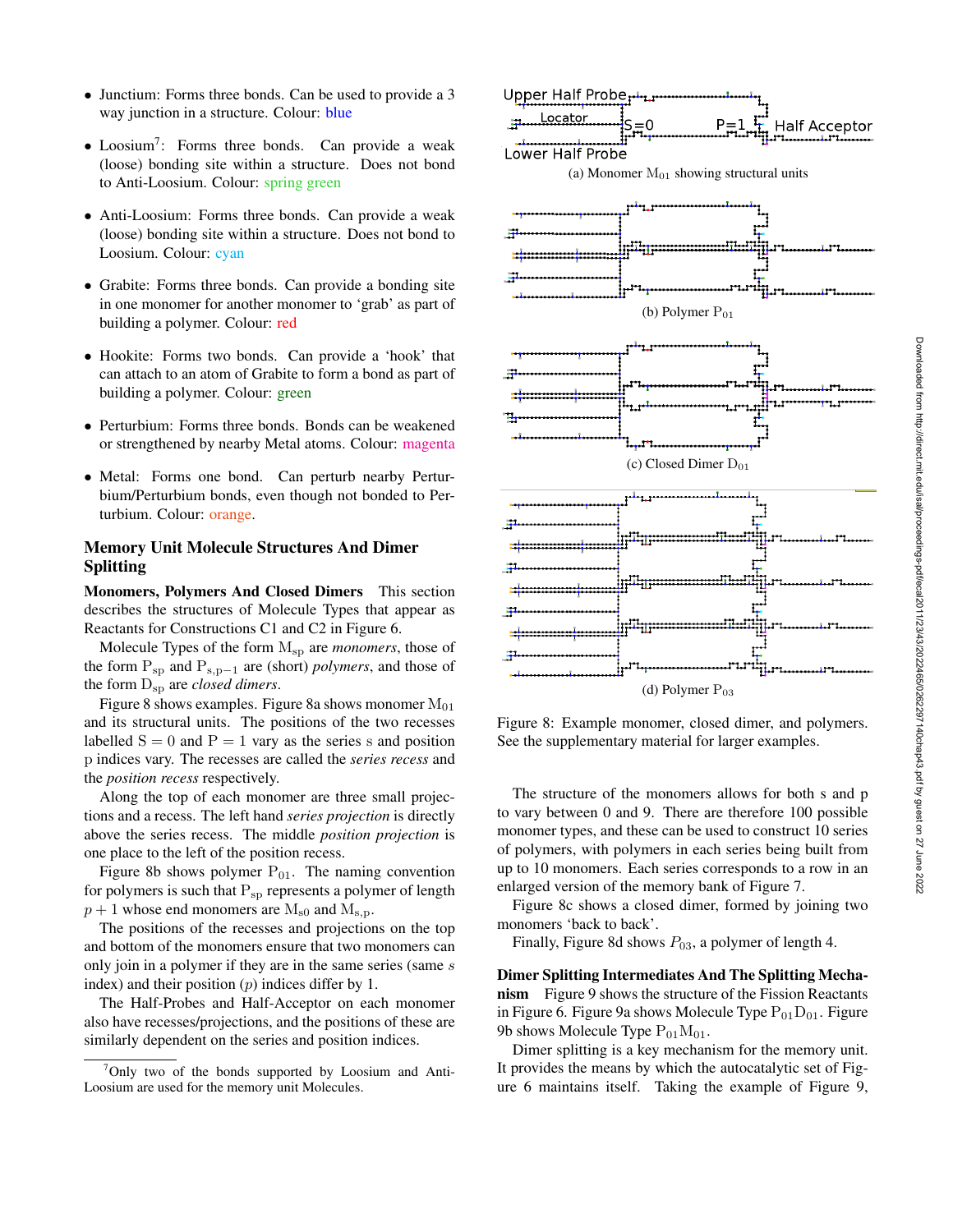- Junctium: Forms three bonds. Can be used to provide a 3 way junction in a structure. Colour: blue
- Loosium<sup>7</sup>: Forms three bonds. Can provide a weak (loose) bonding site within a structure. Does not bond to Anti-Loosium. Colour: spring green
- Anti-Loosium: Forms three bonds. Can provide a weak (loose) bonding site within a structure. Does not bond to Loosium. Colour: cyan
- Grabite: Forms three bonds. Can provide a bonding site in one monomer for another monomer to 'grab' as part of building a polymer. Colour: red
- Hookite: Forms two bonds. Can provide a 'hook' that can attach to an atom of Grabite to form a bond as part of building a polymer. Colour: green
- Perturbium: Forms three bonds. Bonds can be weakened or strengthened by nearby Metal atoms. Colour: magenta
- Metal: Forms one bond. Can perturb nearby Perturbium/Perturbium bonds, even though not bonded to Perturbium. Colour: orange.

## Memory Unit Molecule Structures And Dimer Splitting

Monomers, Polymers And Closed Dimers This section describes the structures of Molecule Types that appear as Reactants for Constructions C1 and C2 in Figure 6.

Molecule Types of the form Msp are *monomers*, those of the form Psp and Ps,p−<sup>1</sup> are (short) *polymers*, and those of the form  $D_{\rm SD}$  are *closed dimers*.

Figure 8 shows examples. Figure 8a shows monomer  $M_{01}$ and its structural units. The positions of the two recesses labelled  $S = 0$  and  $P = 1$  vary as the series s and position p indices vary. The recesses are called the *series recess* and the *position recess* respectively.

Along the top of each monomer are three small projections and a recess. The left hand *series projection* is directly above the series recess. The middle *position projection* is one place to the left of the position recess.

Figure 8b shows polymer  $P_{01}$ . The naming convention for polymers is such that  $P_{sp}$  represents a polymer of length  $p + 1$  whose end monomers are  $M_{s0}$  and  $M_{s,p}$ .

The positions of the recesses and projections on the top and bottom of the monomers ensure that two monomers can only join in a polymer if they are in the same series (same s index) and their position  $(p)$  indices differ by 1.

The Half-Probes and Half-Acceptor on each monomer also have recesses/projections, and the positions of these are similarly dependent on the series and position indices.





Figure 8: Example monomer, closed dimer, and polymers. See the supplementary material for larger examples.

The structure of the monomers allows for both s and p to vary between 0 and 9. There are therefore 100 possible monomer types, and these can be used to construct 10 series of polymers, with polymers in each series being built from up to 10 monomers. Each series corresponds to a row in an enlarged version of the memory bank of Figure 7.

Figure 8c shows a closed dimer, formed by joining two monomers 'back to back'.

Finally, Figure 8d shows  $P_{03}$ , a polymer of length 4.

Dimer Splitting Intermediates And The Splitting Mechanism Figure 9 shows the structure of the Fission Reactants in Figure 6. Figure 9a shows Molecule Type  $P_{01}D_{01}$ . Figure 9b shows Molecule Type  $P_{01}M_{01}$ .

Dimer splitting is a key mechanism for the memory unit. It provides the means by which the autocatalytic set of Figure 6 maintains itself. Taking the example of Figure 9,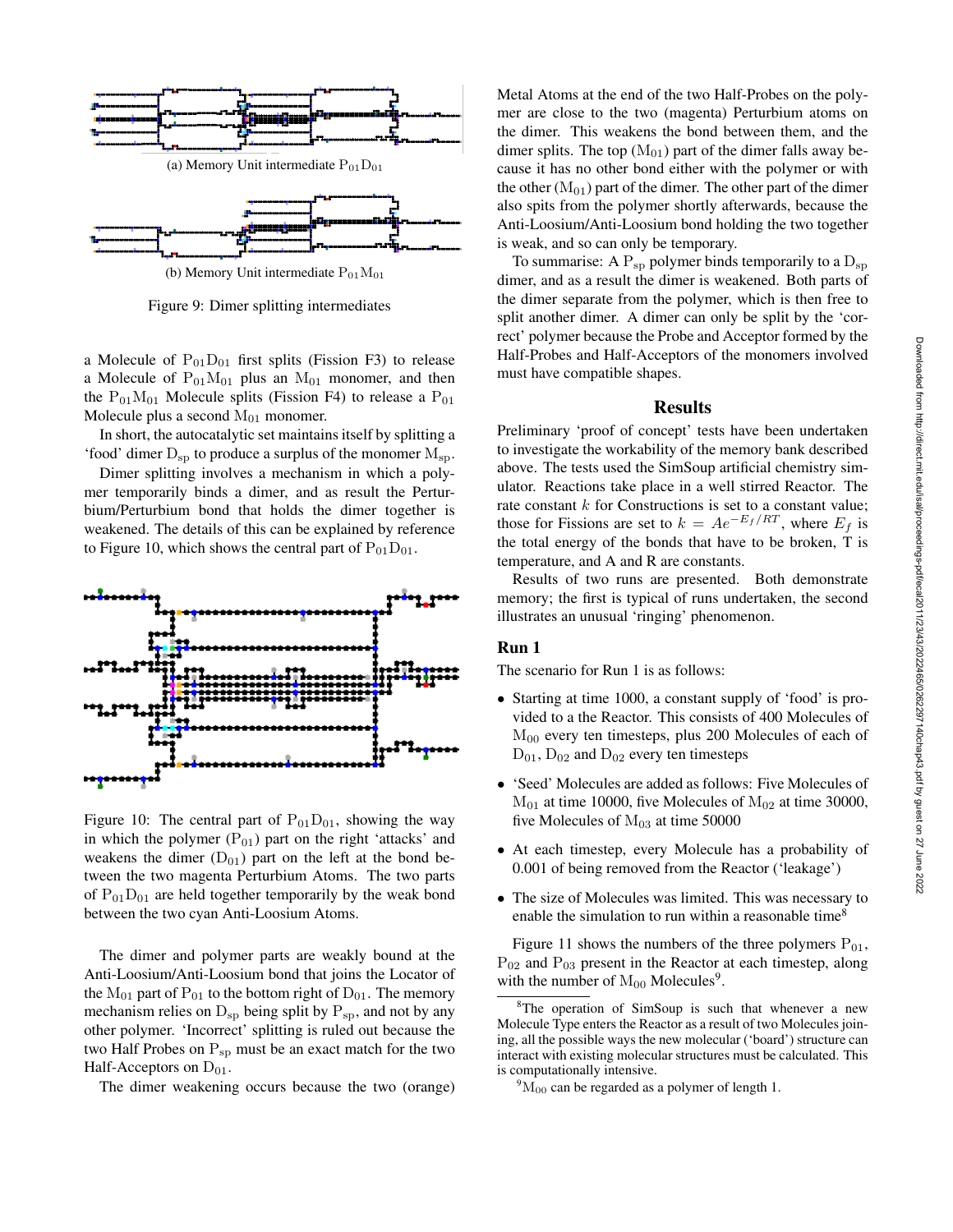

(b) Memory Unit intermediate  $P_{01}M_{01}$ 

Figure 9: Dimer splitting intermediates

a Molecule of  $P_{01}D_{01}$  first splits (Fission F3) to release a Molecule of  $P_{01}M_{01}$  plus an  $M_{01}$  monomer, and then the  $P_{01}M_{01}$  Molecule splits (Fission F4) to release a  $P_{01}$ Molecule plus a second  $M_{01}$  monomer.

In short, the autocatalytic set maintains itself by splitting a 'food' dimer  $D_{sp}$  to produce a surplus of the monomer  $M_{sp}$ .

Dimer splitting involves a mechanism in which a polymer temporarily binds a dimer, and as result the Perturbium/Perturbium bond that holds the dimer together is weakened. The details of this can be explained by reference to Figure 10, which shows the central part of  $P_{01}D_{01}$ .



Figure 10: The central part of  $P_{01}D_{01}$ , showing the way in which the polymer  $(P_{01})$  part on the right 'attacks' and weakens the dimer  $(D_{01})$  part on the left at the bond between the two magenta Perturbium Atoms. The two parts of  $P_{01}D_{01}$  are held together temporarily by the weak bond between the two cyan Anti-Loosium Atoms.

The dimer and polymer parts are weakly bound at the Anti-Loosium/Anti-Loosium bond that joins the Locator of the  $M_{01}$  part of  $P_{01}$  to the bottom right of  $D_{01}$ . The memory mechanism relies on  $D_{\rm sp}$  being split by  $P_{\rm sp}$ , and not by any other polymer. 'Incorrect' splitting is ruled out because the two Half Probes on  $P_{sp}$  must be an exact match for the two Half-Acceptors on  $D_{01}$ .

The dimer weakening occurs because the two (orange)

Metal Atoms at the end of the two Half-Probes on the polymer are close to the two (magenta) Perturbium atoms on the dimer. This weakens the bond between them, and the dimer splits. The top  $(M_{01})$  part of the dimer falls away because it has no other bond either with the polymer or with the other  $(M<sub>01</sub>)$  part of the dimer. The other part of the dimer also spits from the polymer shortly afterwards, because the Anti-Loosium/Anti-Loosium bond holding the two together is weak, and so can only be temporary.

To summarise: A  $P_{\rm sp}$  polymer binds temporarily to a  $D_{\rm sp}$ dimer, and as a result the dimer is weakened. Both parts of the dimer separate from the polymer, which is then free to split another dimer. A dimer can only be split by the 'correct' polymer because the Probe and Acceptor formed by the Half-Probes and Half-Acceptors of the monomers involved must have compatible shapes.

#### **Results**

Preliminary 'proof of concept' tests have been undertaken to investigate the workability of the memory bank described above. The tests used the SimSoup artificial chemistry simulator. Reactions take place in a well stirred Reactor. The rate constant  $k$  for Constructions is set to a constant value; those for Fissions are set to  $k = Ae^{-E_f/RT}$ , where  $E_f$  is the total energy of the bonds that have to be broken, T is temperature, and A and R are constants.

Results of two runs are presented. Both demonstrate memory; the first is typical of runs undertaken, the second illustrates an unusual 'ringing' phenomenon.

### Run 1

The scenario for Run 1 is as follows:

- Starting at time 1000, a constant supply of 'food' is provided to a the Reactor. This consists of 400 Molecules of M<sup>00</sup> every ten timesteps, plus 200 Molecules of each of  $D_{01}$ ,  $D_{02}$  and  $D_{02}$  every ten timesteps
- 'Seed' Molecules are added as follows: Five Molecules of  $M<sub>01</sub>$  at time 10000, five Molecules of  $M<sub>02</sub>$  at time 30000, five Molecules of  $M<sub>03</sub>$  at time 50000
- At each timestep, every Molecule has a probability of 0.001 of being removed from the Reactor ('leakage')
- The size of Molecules was limited. This was necessary to enable the simulation to run within a reasonable time<sup>8</sup>

Figure 11 shows the numbers of the three polymers  $P_{01}$ ,  $P_{02}$  and  $P_{03}$  present in the Reactor at each timestep, along with the number of  $M_{00}$  Molecules<sup>9</sup>.

 $8$ The operation of SimSoup is such that whenever a new Molecule Type enters the Reactor as a result of two Molecules joining, all the possible ways the new molecular ('board') structure can interact with existing molecular structures must be calculated. This is computationally intensive.

 $^{9}M_{00}$  can be regarded as a polymer of length 1.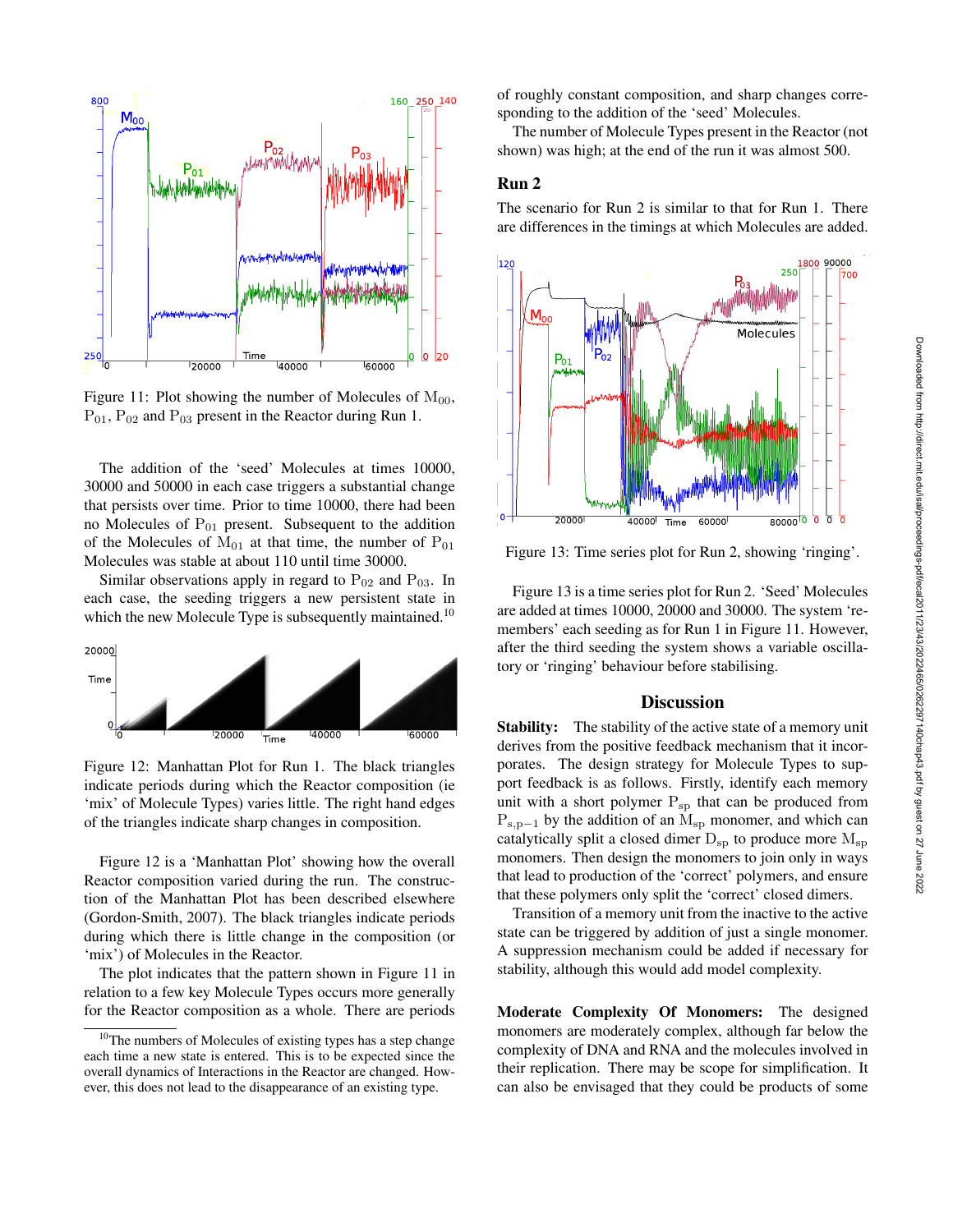

### **Discussion**

tory or 'ringing' behaviour before stabilising.

Stability: The stability of the active state of a memory unit derives from the positive feedback mechanism that it incorporates. The design strategy for Molecule Types to support feedback is as follows. Firstly, identify each memory unit with a short polymer  $P_{sp}$  that can be produced from  $P_{s,p-1}$  by the addition of an  $M_{sp}$  monomer, and which can catalytically split a closed dimer  $D_{sp}$  to produce more  $M_{sp}$ monomers. Then design the monomers to join only in ways that lead to production of the 'correct' polymers, and ensure that these polymers only split the 'correct' closed dimers.

Transition of a memory unit from the inactive to the active state can be triggered by addition of just a single monomer. A suppression mechanism could be added if necessary for stability, although this would add model complexity.

Moderate Complexity Of Monomers: The designed monomers are moderately complex, although far below the complexity of DNA and RNA and the molecules involved in their replication. There may be scope for simplification. It can also be envisaged that they could be products of some



Figure 11: Plot showing the number of Molecules of  $M_{00}$ ,  $P_{01}$ ,  $P_{02}$  and  $P_{03}$  present in the Reactor during Run 1.

The addition of the 'seed' Molecules at times 10000, 30000 and 50000 in each case triggers a substantial change that persists over time. Prior to time 10000, there had been no Molecules of  $P_{01}$  present. Subsequent to the addition of the Molecules of  $M_{01}$  at that time, the number of  $P_{01}$ Molecules was stable at about 110 until time 30000.

Similar observations apply in regard to  $P_{02}$  and  $P_{03}$ . In each case, the seeding triggers a new persistent state in which the new Molecule Type is subsequently maintained.<sup>10</sup>



Figure 12: Manhattan Plot for Run 1. The black triangles indicate periods during which the Reactor composition (ie 'mix' of Molecule Types) varies little. The right hand edges of the triangles indicate sharp changes in composition.

Figure 12 is a 'Manhattan Plot' showing how the overall Reactor composition varied during the run. The construction of the Manhattan Plot has been described elsewhere (Gordon-Smith, 2007). The black triangles indicate periods during which there is little change in the composition (or 'mix') of Molecules in the Reactor.

The plot indicates that the pattern shown in Figure 11 in relation to a few key Molecule Types occurs more generally for the Reactor composition as a whole. There are periods of roughly constant composition, and sharp changes corresponding to the addition of the 'seed' Molecules.

The number of Molecule Types present in the Reactor (not shown) was high; at the end of the run it was almost 500.

### Run 2

The scenario for Run 2 is similar to that for Run 1. There are differences in the timings at which Molecules are added.



Downloaded from http://direct.mit.edu/isal/proceedings-pdf/ecal2011/23/43/2022465/0262297140chap43.pdf by guest on 27 June 2022

Downloaded from http://direct.mit.edu/isal/proceedings-pdf/ecal2011/23/43/2022465/0262297140chap43.pdf by guest on 27 June 2022

<sup>&</sup>lt;sup>10</sup>The numbers of Molecules of existing types has a step change each time a new state is entered. This is to be expected since the overall dynamics of Interactions in the Reactor are changed. However, this does not lead to the disappearance of an existing type.